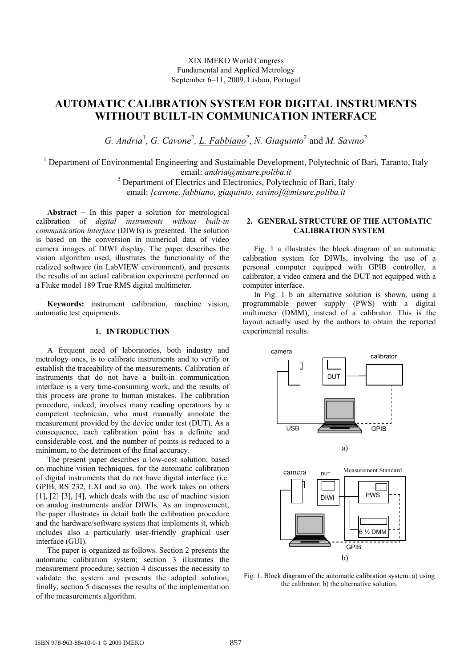XIX IMEKO World Congress Fundamental and Applied Metrology September 6−11, 2009, Lisbon, Portugal

# **AUTOMATIC CALIBRATION SYSTEM FOR DIGITAL INSTRUMENTS WITHOUT BUILT-IN COMMUNICATION INTERFACE**

G. Andria<sup>1</sup>, G. Cavone<sup>2</sup>, <u>L. Fabbiano</u><sup>2</sup>, N. Giaquinto<sup>2</sup> and M. Savino<sup>2</sup>

<sup>1</sup> Department of Environmental Engineering and Sustainable Development, Polytechnic of Bari, Taranto, Italy email: *andria@misure.poliba.it*<br><sup>2</sup> Department of Electrics and Electronics, Polytechnic of Bari, Italy

email: *[cavone, fabbiano, giaquinto, savino]@misure.poliba.it*

**Abstract** − In this paper a solution for metrological calibration of *digital instruments without built-in communication interface* (DIWIs) is presented. The solution is based on the conversion in numerical data of video camera images of DIWI display. The paper describes the vision algorithm used, illustrates the functionality of the realized software (in LabVIEW environment), and presents the results of an actual calibration experiment performed on a Fluke model 189 True RMS digital multimeter.

**Keywords:** instrument calibration, machine vision, automatic test equipments.

#### **1. INTRODUCTION**

A frequent need of laboratories, both industry and metrology ones, is to calibrate instruments and to verify or establish the traceability of the measurements. Calibration of instruments that do not have a built-in communication interface is a very time-consuming work, and the results of this process are prone to human mistakes. The calibration procedure, indeed, involves many reading operations by a competent technician, who must manually annotate the measurement provided by the device under test (DUT). As a consequence, each calibration point has a definite and considerable cost, and the number of points is reduced to a minimum, to the detriment of the final accuracy.

The present paper describes a low-cost solution, based on machine vision techniques, for the automatic calibration of digital instruments that do not have digital interface (i.e. GPIB, RS 232, LXI and so on). The work takes on others  $[1]$ ,  $[2]$   $[3]$ ,  $[4]$ , which deals with the use of machine vision on analog instruments and/or DIWIs. As an improvement, the paper illustrates in detail both the calibration procedure and the hardware/software system that implements it, which includes also a particularly user-friendly graphical user interface (GUI).

The paper is organized as follows. Section 2 presents the automatic calibration system; section 3 illustrates the measurement procedure; section 4 discusses the necessity to validate the system and presents the adopted solution; finally, section 5 discusses the results of the implementation of the measurements algorithm.

## **2. GENERAL STRUCTURE OF THE AUTOMATIC CALIBRATION SYSTEM**

Fig. 1 a illustrates the block diagram of an automatic calibration system for DIWIs, involving the use of a personal computer equipped with GPIB controller, a calibrator, a video camera and the DUT not equipped with a computer interface.

In Fig. 1 b an alternative solution is shown, using a programmable power supply (PWS) with a digital multimeter (DMM), instead of a calibrator. This is the layout actually used by the authors to obtain the reported experimental results.



Fig. 1. Block diagram of the automatic calibration system: a) using the calibrator; b) the alternative solution.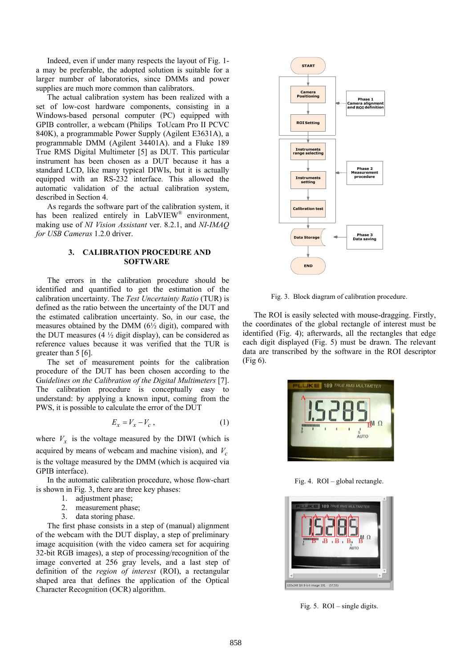Indeed, even if under many respects the layout of Fig. 1 a may be preferable, the adopted solution is suitable for a larger number of laboratories, since DMMs and power supplies are much more common than calibrators.

The actual calibration system has been realized with a set of low-cost hardware components, consisting in a Windows-based personal computer (PC) equipped with GPIB controller, a webcam (Philips ToUcam Pro II PCVC 840K), a programmable Power Supply (Agilent E3631A), a programmable DMM (Agilent 34401A). and a Fluke 189 True RMS Digital Multimeter [5] as DUT. This particular instrument has been chosen as a DUT because it has a standard LCD, like many typical DIWIs, but it is actually equipped with an RS-232 interface. This allowed the automatic validation of the actual calibration system, described in Section 4.

As regards the software part of the calibration system, it has been realized entirely in LabVIEW<sup>®</sup> environment, making use of *NI Vision Assistant* ver. 8.2.1, and *NI-IMAQ for USB Cameras* 1.2.0 driver.

#### **3. CALIBRATION PROCEDURE AND SOFTWARE**

The errors in the calibration procedure should be identified and quantified to get the estimation of the calibration uncertainty. The *Test Uncertainty Ratio* (TUR) is defined as the ratio between the uncertainty of the DUT and the estimated calibration uncertainty. So, in our case, the measures obtained by the DMM  $(6\frac{1}{2} \text{ digit})$ , compared with the DUT measures (4  $\frac{1}{2}$  digit display), can be considered as reference values because it was verified that the TUR is greater than 5 [6].

The set of measurement points for the calibration procedure of the DUT has been chosen according to the G*uidelines on the Calibration of the Digital Multimeters* [7]. The calibration procedure is conceptually easy to understand: by applying a known input, coming from the PWS, it is possible to calculate the error of the DUT

$$
E_x = V_x - V_c \t\t(1)
$$

where  $V<sub>x</sub>$  is the voltage measured by the DIWI (which is acquired by means of webcam and machine vision), and  $V_c$ is the voltage measured by the DMM (which is acquired via GPIB interface).

In the automatic calibration procedure, whose flow-chart is shown in Fig. 3, there are three key phases:

- 1. adjustment phase;
- 2. measurement phase;
- 3. data storing phase.

The first phase consists in a step of (manual) alignment of the webcam with the DUT display, a step of preliminary image acquisition (with the video camera set for acquiring 32-bit RGB images), a step of processing/recognition of the image converted at 256 gray levels, and a last step of definition of the *region of interest* (ROI), a rectangular shaped area that defines the application of the Optical Character Recognition (OCR) algorithm.



Fig. 3. Block diagram of calibration procedure.

The ROI is easily selected with mouse-dragging. Firstly, the coordinates of the global rectangle of interest must be identified (Fig. 4); afterwards, all the rectangles that edge each digit displayed (Fig. 5) must be drawn. The relevant data are transcribed by the software in the ROI descriptor (Fig 6).



Fig. 4. ROI – global rectangle.



Fig. 5. ROI – single digits.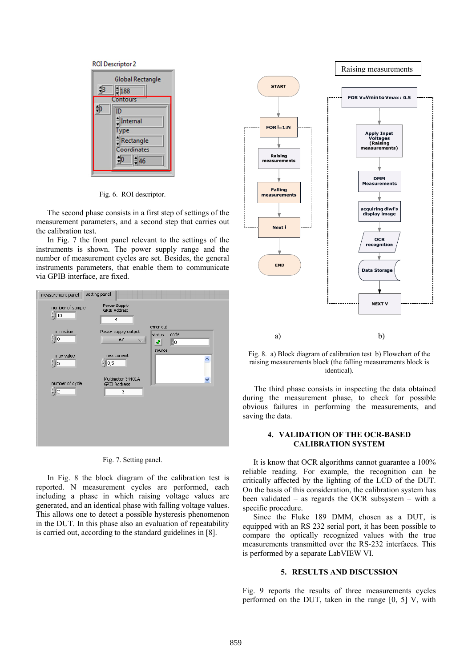

Fig. 6. ROI descriptor.

The second phase consists in a first step of settings of the measurement parameters, and a second step that carries out the calibration test.

In Fig. 7 the front panel relevant to the settings of the instruments is shown. The power supply range and the number of measurement cycles are set. Besides, the general instruments parameters, that enable them to communicate via GPIB interface, are fixed.



|  | Fig. 7. Setting panel. |  |
|--|------------------------|--|
|--|------------------------|--|

In Fig. 8 the block diagram of the calibration test is reported. N measurement cycles are performed, each including a phase in which raising voltage values are generated, and an identical phase with falling voltage values. This allows one to detect a possible hysteresis phenomenon in the DUT. In this phase also an evaluation of repeatability is carried out, according to the standard guidelines in [8].



Fig. 8. a) Block diagram of calibration test b) Flowchart of the raising measurements block (the falling measurements block is identical).

The third phase consists in inspecting the data obtained during the measurement phase, to check for possible obvious failures in performing the measurements, and saving the data.

### **4. VALIDATION OF THE OCR-BASED CALIBRATION SYSTEM**

It is know that OCR algorithms cannot guarantee a 100% reliable reading. For example, the recognition can be critically affected by the lighting of the LCD of the DUT. On the basis of this consideration, the calibration system has been validated – as regards the OCR subsystem – with a specific procedure.

Since the Fluke 189 DMM, chosen as a DUT, is equipped with an RS 232 serial port, it has been possible to compare the optically recognized values with the true measurements transmitted over the RS-232 interfaces. This is performed by a separate LabVIEW VI.

#### **5. RESULTS AND DISCUSSION**

Fig. 9 reports the results of three measurements cycles performed on the DUT, taken in the range [0, 5] V, with